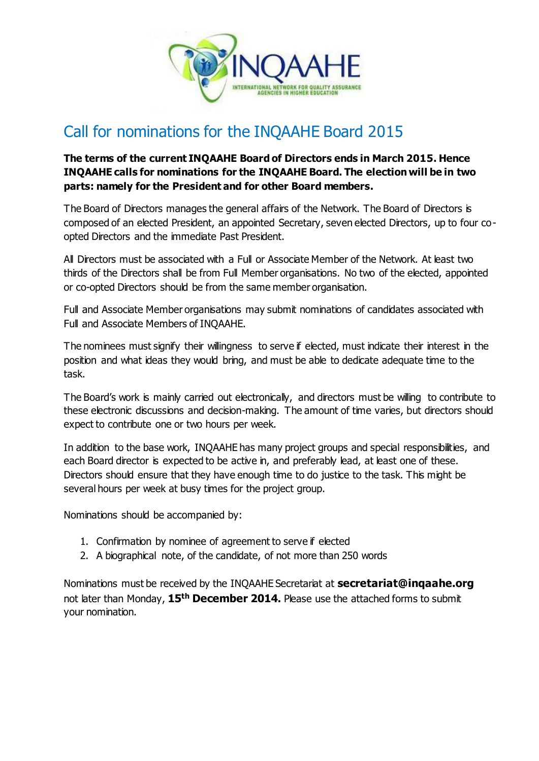

## Call for nominations for the INQAAHE Board 2015

## **The terms of the current INQAAHE Board of Directors ends in March 2015. Hence INQAAHE calls for nominations for the INQAAHE Board. The election will be in two parts: namely for the President and for other Board members.**

The Board of Directors manages the general affairs of the Network. The Board of Directors is composed of an elected President, an appointed Secretary, seven elected Directors, up to four coopted Directors and the immediate Past President.

All Directors must be associated with a Full or Associate Member of the Network. At least two thirds of the Directors shall be from Full Member organisations. No two of the elected, appointed or co-opted Directors should be from the same member organisation.

Full and Associate Member organisations may submit nominations of candidates associated with Full and Associate Members of INQAAHE.

The nominees must signify their willingness to serve if elected, must indicate their interest in the position and what ideas they would bring, and must be able to dedicate adequate time to the task.

The Board's work is mainly carried out electronically, and directors must be willing to contribute to these electronic discussions and decision-making. The amount of time varies, but directors should expect to contribute one or two hours per week.

In addition to the base work, INQAAHE has many project groups and special responsibilities, and each Board director is expected to be active in, and preferably lead, at least one of these. Directors should ensure that they have enough time to do justice to the task. This might be several hours per week at busy times for the project group.

Nominations should be accompanied by:

- 1. Confirmation by nominee of agreement to serve if elected
- 2. A biographical note, of the candidate, of not more than 250 words

Nominations must be received by the INQAAHE Secretariat at **[secretariat@inqaahe.org](mailto:secretariat@inqaahe.org)** not later than Monday, **15th December 2014.** Please use the attached forms to submit your nomination.